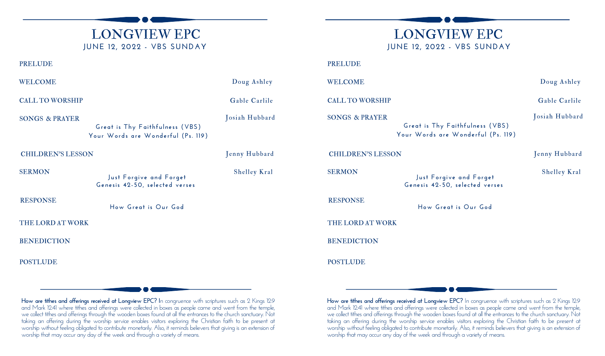# LONGVIEW EPC **JUNE 12, 2022 - VBS SUNDAY**

# LONGVIEW EPC **JUNE 12, 2022 - VBS SUNDAY**

#### **BENEDICTION** POSTLUDE THE LORD AT WORK SONGS & PRAYER **Great is Thy Faithfulness (VBS) Your Words are Wonderful (Ps. 119)** Josiah Hubbard WELCOME Doug Ashley PRELUDE **How Great is Our God** RESPONSE CHILDREN'S LESSON Jenny Hubbard SERMON **Just Forgive and Forget Genesis 42-50, selected verses** Shelley Kral CALL TO WORSHIP Gable Carlile **BENEDICTION POSTLUDE** THE LORD AT WORK WELCOME Doug Ashley PRELUDE **How Great is Our God** RESPONSE CHILDREN'S LESSON Jenny Hubbard SERMON **Just Forgive and Forget Genesis 42-50, selected verses** Shelley Kral CALL TO WORSHIP Gable Carlile SONGS & PRAYER **Great is Thy Faithfulness (VBS) Your Words are Wonderful (Ps. 119)** Josiah Hubbard

**How are tithes and offerings received at Longview EPC? I**n congruence with scriptures such as 2 Kings 12:9 and Mark 12:41 where tithes and offerings were collected in boxes as people came and went from the temple, we collect tithes and offerings through the wooden boxes found at all the entrances to the church sanctuary. Not taking an offering during the worship service enables visitors exploring the Christian faith to be present at worship without feeling obligated to contribute monetarily. Also, it reminds believers that giving is an extension of worship that may occur any day of the week and through a variety of means.

**How are tithes and offerings received at Longview EPC?** In congruence with scriptures such as 2 Kings 12:9 and Mark 12:41 where tithes and offerings were collected in boxes as people came and went from the temple, we collect tithes and offerings through the wooden boxes found at all the entrances to the church sanctuary. Not taking an offering during the worship service enables visitors exploring the Christian faith to be present at worship without feeling obligated to contribute monetarily. Also, it reminds believers that giving is an extension of worship that may occur any day of the week and through a variety of means.